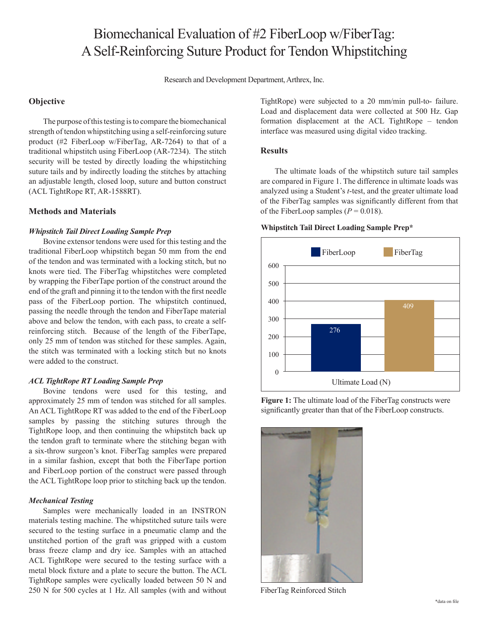# Biomechanical Evaluation of #2 FiberLoop w/FiberTag: A Self-Reinforcing Suture Product for Tendon Whipstitching

Research and Development Department, Arthrex, Inc.

## **Objective**

The purpose of this testing is to compare the biomechanical strength of tendon whipstitching using a self-reinforcing suture product (#2 FiberLoop w/FiberTag, AR-7264) to that of a traditional whipstitch using FiberLoop (AR-7234). The stitch security will be tested by directly loading the whipstitching suture tails and by indirectly loading the stitches by attaching an adjustable length, closed loop, suture and button construct (ACL TightRope RT, AR-1588RT).

## **Methods and Materials**

### *Whipstitch Tail Direct Loading Sample Prep*

Bovine extensor tendons were used for this testing and the traditional FiberLoop whipstitch began 50 mm from the end of the tendon and was terminated with a locking stitch, but no knots were tied. The FiberTag whipstitches were completed by wrapping the FiberTape portion of the construct around the end of the graft and pinning it to the tendon with the first needle pass of the FiberLoop portion. The whipstitch continued, passing the needle through the tendon and FiberTape material above and below the tendon, with each pass, to create a selfreinforcing stitch. Because of the length of the FiberTape, only 25 mm of tendon was stitched for these samples. Again, the stitch was terminated with a locking stitch but no knots were added to the construct.

### *ACL TightRope RT Loading Sample Prep*

Bovine tendons were used for this testing, and approximately 25 mm of tendon was stitched for all samples. An ACL TightRope RT was added to the end of the FiberLoop samples by passing the stitching sutures through the TightRope loop, and then continuing the whipstitch back up the tendon graft to terminate where the stitching began with a six-throw surgeon's knot. FiberTag samples were prepared in a similar fashion, except that both the FiberTape portion and FiberLoop portion of the construct were passed through the ACL TightRope loop prior to stitching back up the tendon.

### *Mechanical Testing*

Samples were mechanically loaded in an INSTRON materials testing machine. The whipstitched suture tails were secured to the testing surface in a pneumatic clamp and the unstitched portion of the graft was gripped with a custom brass freeze clamp and dry ice. Samples with an attached ACL TightRope were secured to the testing surface with a metal block fixture and a plate to secure the button. The ACL TightRope samples were cyclically loaded between 50 N and 250 N for 500 cycles at 1 Hz. All samples (with and without TightRope) were subjected to a 20 mm/min pull-to- failure. Load and displacement data were collected at 500 Hz. Gap formation displacement at the ACL TightRope – tendon interface was measured using digital video tracking.

### **Results**

The ultimate loads of the whipstitch suture tail samples are compared in Figure 1. The difference in ultimate loads was analyzed using a Student's *t*-test, and the greater ultimate load of the FiberTag samples was significantly different from that of the FiberLoop samples  $(P = 0.018)$ .

#### **Whipstitch Tail Direct Loading Sample Prep\***



Figure 1: The ultimate load of the FiberTag constructs were significantly greater than that of the FiberLoop constructs.



FiberTag Reinforced Stitch